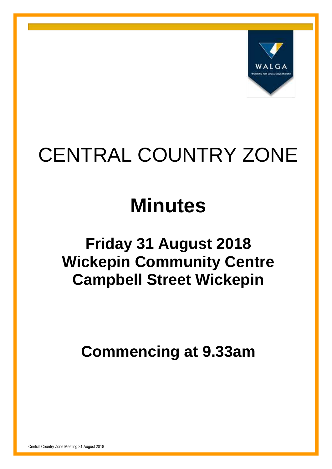

# CENTRAL COUNTRY ZONE

# **Minutes**

# **Friday 31 August 2018 Wickepin Community Centre Campbell Street Wickepin**

**Commencing at 9.33am**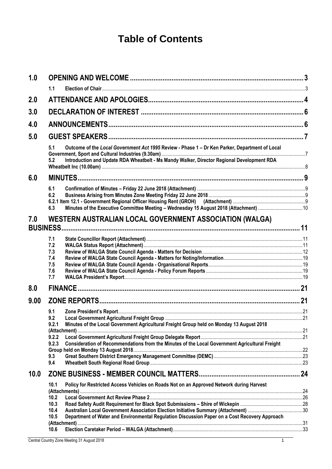## **Table of Contents**

| 1.0  |                                                                                                         |   |
|------|---------------------------------------------------------------------------------------------------------|---|
|      | 1.1                                                                                                     |   |
| 2.0  |                                                                                                         |   |
| 3.0  |                                                                                                         |   |
| 4.0  |                                                                                                         |   |
| 5.0  |                                                                                                         |   |
|      | Outcome of the Local Government Act 1995 Review - Phase 1 - Dr Ken Parker, Department of Local<br>5.1   |   |
|      | Introduction and Update RDA Wheatbelt - Ms Mandy Walker, Director Regional Development RDA<br>5.2       |   |
| 6.0  | <b>MINUTES</b>                                                                                          | g |
|      | 6.1                                                                                                     |   |
|      | 6.2                                                                                                     |   |
|      |                                                                                                         |   |
|      | Minutes of the Executive Committee Meeting - Wednesday 15 August 2018 (Attachment) 10<br>6.3            |   |
| 7.0  | WESTERN AUSTRALIAN LOCAL GOVERNMENT ASSOCIATION (WALGA)<br><b>BUSINESS.</b>                             |   |
|      |                                                                                                         |   |
|      | 7.1                                                                                                     |   |
|      | 7.2<br>7.3                                                                                              |   |
|      | 7.4                                                                                                     |   |
|      | 7.5                                                                                                     |   |
|      | 7.6                                                                                                     |   |
|      | 7.7                                                                                                     |   |
| 8.0  | <b>FINANCE</b>                                                                                          |   |
| 9.00 |                                                                                                         |   |
|      | 9.1                                                                                                     |   |
|      | 9.2                                                                                                     |   |
|      | Minutes of the Local Government Agricultural Freight Group held on Monday 13 August 2018<br>9.2.1       |   |
|      |                                                                                                         |   |
|      | 9.2.2                                                                                                   |   |
|      | Consideration of Recommendations from the Minutes of the Local Government Agricultural Freight<br>9.2.3 |   |
|      | 9.3                                                                                                     |   |
|      | 9.4                                                                                                     |   |
| 10.0 |                                                                                                         |   |
|      |                                                                                                         |   |
|      | Policy for Restricted Access Vehicles on Roads Not on an Approved Network during Harvest<br>10.1        |   |
|      | 10.2                                                                                                    |   |
|      | 10.3                                                                                                    |   |
|      | 10.4                                                                                                    |   |
|      | Department of Water and Environmental Regulation Discussion Paper on a Cost Recovery Approach<br>10.5   |   |
|      |                                                                                                         |   |
|      | 10.6                                                                                                    |   |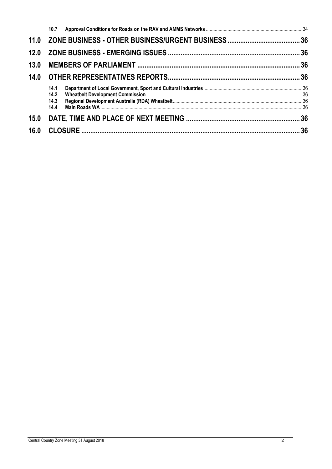| 12.0 |                              |  |
|------|------------------------------|--|
| 13.0 |                              |  |
| 14.0 |                              |  |
|      | 14.1<br>14.2<br>14.3<br>14.4 |  |
| 15.0 |                              |  |
| 16.0 |                              |  |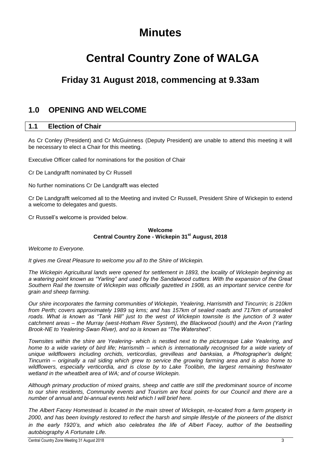## **Minutes**

# **Central Country Zone of WALGA**

## **Friday 31 August 2018, commencing at 9.33am**

## <span id="page-3-0"></span>**1.0 OPENING AND WELCOME**

#### <span id="page-3-1"></span>**1.1 Election of Chair**

As Cr Conley (President) and Cr McGuinness (Deputy President) are unable to attend this meeting it will be necessary to elect a Chair for this meeting.

Executive Officer called for nominations for the position of Chair

Cr De Landgrafft nominated by Cr Russell

No further nominations Cr De Landgrafft was elected

Cr De Landgrafft welcomed all to the Meeting and invited Cr Russell, President Shire of Wickepin to extend a welcome to delegates and guests.

Cr Russell's welcome is provided below.

#### **Welcome Central Country Zone - Wickepin 31st August, 2018**

*Welcome to Everyone.* 

*It gives me Great Pleasure to welcome you all to the Shire of Wickepin.* 

*The Wickepin Agricultural lands were opened for settlement in 1893, the locality of Wickepin beginning as a watering point known as "Yarling" and used by the Sandalwood cutters. With the expansion of the Great Southern Rail the townsite of Wickepin was officially gazetted in 1908, as an important service centre for grain and sheep farming.*

*Our shire incorporates the farming communities of Wickepin, Yealering, Harrismith and Tincurrin; is 210km from Perth; covers approximately 1989 sq kms; and has 157km of sealed roads and 717km of unsealed roads. What is known as "Tank Hill" just to the west of Wickepin townsite is the junction of 3 water catchment areas – the Murray (west-Hotham River System), the Blackwood (south) and the Avon (Yarling Brook-NE to Yealering-Swan River), and so is known as "The Watershed".*

*Townsites within the shire are Yealering- which is nestled next to the picturesque Lake Yealering, and home to a wide variety of bird life; Harrismith – which is internationally recognised for a wide variety of unique wildflowers including orchids, verticordias, grevilleas and banksias, a Photographer's delight; Tincurrin – originally a rail siding which grew to service the growing farming area and is also home to wildflowers, especially verticordia, and is close by to Lake Toolibin, the largest remaining freshwater wetland in the wheatbelt area of WA; and of course Wickepin.* 

*Although primary production of mixed grains, sheep and cattle are still the predominant source of income to our shire residents, Community events and Tourism are focal points for our Council and there are a number of annual and bi-annual events held which I will brief here.*

*The Albert Facey Homestead is located in the main street of Wickepin, re-located from a farm property in 2000, and has been lovingly restored to reflect the harsh and simple lifestyle of the pioneers of the district in the early 1920's, and which also celebrates the life of Albert Facey, author of the bestselling autobiography A Fortunate Life.*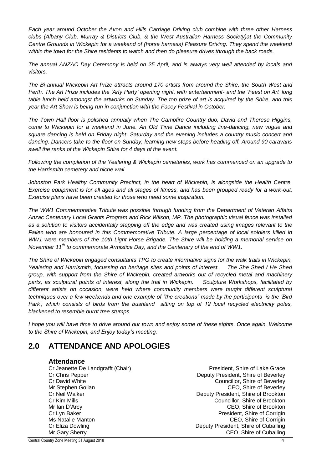*Each year around October the Avon and Hills Carriage Driving club combine with three other Harness clubs (Albany Club, Murray & Districts Club, & the West Australian Harness Society)at the Community Centre Grounds in Wickepin for a weekend of (horse harness) Pleasure Driving. They spend the weekend within the town for the Shire residents to watch and then do pleasure drives through the back roads.*

*The annual ANZAC Day Ceremony is held on 25 April, and is always very well attended by locals and visitors.*

*The Bi-annual Wickepin Art Prize attracts around 170 artists from around the Shire, the South West and Perth. The Art Prize includes the 'Arty Party' opening night, with entertainment- and the 'Feast on Art' long table lunch held amongst the artworks on Sunday. The top prize of art is acquired by the Shire, and this year the Art Show is being run in conjunction with the Facey Festival in October.*

*The Town Hall floor is polished annually when The Campfire Country duo, David and Therese Higgins, come to Wickepin for a weekend in June. An Old Time Dance including line-dancing, new vogue and*  square dancing is held on Friday night. Saturday and the evening includes a country music concert and *dancing. Dancers take to the floor on Sunday, learning new steps before heading off. Around 90 caravans swell the ranks of the Wickepin Shire for 4 days of the event.* 

*Following the completion of the Yealering & Wickepin cemeteries, work has commenced on an upgrade to the Harrismith cemetery and niche wall.*

Johnston Park Healthy Community Precinct, in the heart of Wickepin, is alongside the Health Centre. *Exercise equipment is for all ages and all stages of fitness, and has been grouped ready for a work-out. Exercise plans have been created for those who need some inspiration.* 

*The WW1 Commemorative Tribute was possible through funding from the Department of Veteran Affairs Anzac Centenary Local Grants Program and Rick Wilson, MP. The photographic visual fence was installed as a solution to visitors accidentally stepping off the edge and was created using images relevant to the Fallen who are honoured in this Commemorative Tribute. A large percentage of local soldiers killed in WW1 were members of the 10th Light Horse Brigade. The Shire will be holding a memorial service on November 11th to commemorate Armistice Day, and the Centenary of the end of WW1.*

*The Shire of Wickepin engaged consultants TPG to create informative signs for the walk trails in Wickepin, Yealering and Harrismith, focussing on heritage sites and points of interest. The She Shed / He Shed group, with support from the Shire of Wickepin, created artworks out of recycled metal and machinery parts, as sculptural points of interest, along the trail in Wickepin. Sculpture Workshops, facilitated by*  different artists on occasion, were held where community members were taught different sculptural *techniques over a few weekends and one example of "the creations" made by the participants is the 'Bird*  Park', which consists of birds from the bushland sitting on top of 12 local recycled electricity poles, *blackened to resemble burnt tree stumps.*

*I hope you will have time to drive around our town and enjoy some of these sights. Once again, Welcome to the Shire of Wickepin, and Enjoy today's meeting.*

## <span id="page-4-0"></span>**2.0 ATTENDANCE AND APOLOGIES**

#### **Attendance**

Cr Jeanette De Landgrafft (Chair) President, Shire of Lake Grace Cr Chris Pepper Deputy President, Shire of Beverley Cr David White Cr David White Councillor, Shire of Beverley Mr Stephen Gollan Center Center Center CEO, Shire of Beverley Cr Neil Walker Deputy President, Shire of Brookton Cr Kim Mills Councillor, Shire of Brookton Mr Ian D'Arcy CEO, Shire of Brookton Cr Lyn Baker **President, Shire of Corrigin** President, Shire of Corrigin Ms Natalie Manton CEO, Shire of Corrigin Cr Eliza Dowling **Creatilla Contract Creative Creative Creative Creative Creative Creative Creative Creative Creative Creative Creative Creative Creative Creative Creative Creative Creative Creative Creative Creative Creat** Mr Gary Sherry **CEO**, Shire of Cuballing

Central Country Zone Meeting 31 August 2018 4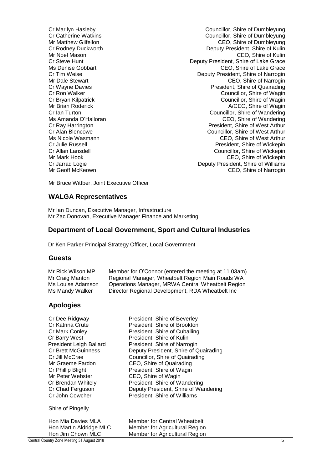Cr Marilyn Hasleby Councillor, Shire of Dumbleyung Cr Catherine Watkins Councillor, Shire of Dumbleyung Mr Matthew Gilfellon CEO, Shire of Dumbleyung Cr Rodney Duckworth Deputy President, Shire of Kulin Mr Noel Mason CEO, Shire of Kulin Cr Steve Hunt **Deputy President, Shire of Lake Grace**<br>Ms Denise Gobbart **Deputy President, Shire of Lake Grace** CEO, Shire of Lake Grace Cr Tim Weise Deputy President, Shire of Narrogin Mr Dale Stewart CEO, Shire of Narrogin Cr Wayne Davies **President**, Shire of Quairading **Cr Ron Walker Cr Ron Walker Councillor, Shire of Wagin** Cr Bryan Kilpatrick Cr Bryan Kilpatrick<br>Mr Brian Roderick Councillor, Shire of Wagin A/CEO, Shire of Wagin Cr Ian Turton Councillor, Shire of Wandering Ms Amanda O'Halloran CEO, Shire of Wandering<br>Cr Ray Harrington Cr Ray Harrington Cr Ray Harrington Cr Ray Harrington **President, Shire of West Arthur**<br>Cr Alan Blencowe **President Arthur** Councillor, Shire of West Arthur Councillor, Shire of West Arthur Ms Nicole Wasmann **Michael Arthur CEO**, Shire of West Arthur<br>Cr Julie Russell **Critical Critics** Cr President Shire of Wickepin Cr Julie Russell President, Shire of Wickepin Councillor, Shire of Wickepin Mr Mark Hook **CEO**, Shire of Wickepin Cr Jarrad Logie **Deputy President, Shire of Williams** Mr Geoff McKeown **CEO**, Shire of Narrogin

Mr Bruce Wittber, Joint Executive Officer

#### **WALGA Representatives**

Mr Ian Duncan, Executive Manager, Infrastructure Mr Zac Donovan, Executive Manager Finance and Marketing

#### **Department of Local Government, Sport and Cultural Industries**

Dr Ken Parker Principal Strategy Officer, Local Government

#### **Guests**

| Mr Rick Wilson MP | Member for O'Connor (entered the meeting at 11.03am) |
|-------------------|------------------------------------------------------|
| Mr Craig Manton   | Regional Manager, Wheatbelt Region Main Roads WA     |
| Ms Louise Adamson | Operations Manager, MRWA Central Wheatbelt Region    |
| Ms Mandy Walker   | Director Regional Development, RDA Wheatbelt Inc.    |

#### **Apologies**

| Cr Dee Ridgway<br>Cr Katrina Crute | President, Shire of Beverley<br>President, Shire of Brookton |
|------------------------------------|--------------------------------------------------------------|
| Cr Mark Conley                     | President, Shire of Cuballing                                |
| Cr Barry West                      | President, Shire of Kulin                                    |
| <b>President Leigh Ballard</b>     | President, Shire of Narrogin                                 |
| <b>Cr Brett McGuinness</b>         | Deputy President, Shire of Quairading                        |
| Cr Jill McCrae                     | Councillor, Shire of Quairading                              |
| Mr Graeme Fardon                   | CEO, Shire of Quairading                                     |
| Cr Phillip Blight                  | President, Shire of Wagin                                    |
| Mr Peter Webster                   | CEO, Shire of Wagin                                          |
| Cr Brendan Whitely                 | President, Shire of Wandering                                |
| Cr Chad Ferguson                   | Deputy President, Shire of Wandering                         |
| Cr John Cowcher                    | President, Shire of Williams                                 |
| Shire of Pingelly                  |                                                              |
| Hon Mia Davies MLA                 | <b>Member for Central Wheatbelt</b>                          |

Hon Martin Aldridge MLC Member for Agricultural Region Hon Jim Chown MLC Member for Agricultural Region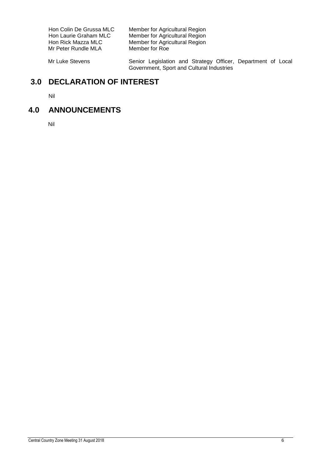Mr Peter Rundle MLA

Hon Colin De Grussa MLC Member for Agricultural Region<br>Hon Laurie Graham MLC Member for Agricultural Region Hon Laurie Graham MLC Member for Agricultural Region Hon Rick Mazza MLC Member for Agricultural Region

Mr Luke Stevens **Senior Legislation and Strategy Officer**, Department of Local Government, Sport and Cultural Industries

## <span id="page-6-0"></span>**3.0 DECLARATION OF INTEREST**

Nil

## <span id="page-6-1"></span>**4.0 ANNOUNCEMENTS**

Nil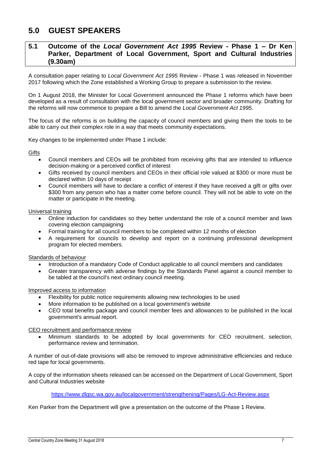## <span id="page-7-0"></span>**5.0 GUEST SPEAKERS**

#### <span id="page-7-1"></span>**5.1 Outcome of the** *Local Government Act 1995* **Review - Phase 1 – Dr Ken Parker, Department of Local Government, Sport and Cultural Industries (9.30am)**

A consultation paper relating to *Local Government Act 1995* Review - Phase 1 was released in November 2017 following which the Zone established a Working Group to prepare a submission to the review.

On 1 August 2018, the Minister for Local Government announced the Phase 1 reforms which have been developed as a result of consultation with the local government sector and broader community. Drafting for the reforms will now commence to prepare a Bill to amend the *Local Government Act 1995*.

The focus of the reforms is on building the capacity of council members and giving them the tools to be able to carry out their complex role in a way that meets community expectations.

Key changes to be implemented under Phase 1 include:

**Gifts** 

- Council members and CEOs will be prohibited from receiving gifts that are intended to influence decision-making or a perceived conflict of interest
- Gifts received by council members and CEOs in their official role valued at \$300 or more must be declared within 10 days of receipt
- Council members will have to declare a conflict of interest if they have received a gift or gifts over \$300 from any person who has a matter come before council. They will not be able to vote on the matter or participate in the meeting.

Universal training

- Online induction for candidates so they better understand the role of a council member and laws covering election campaigning
- Formal training for all council members to be completed within 12 months of election
- A requirement for councils to develop and report on a continuing professional development program for elected members.

Standards of behaviour

- Introduction of a mandatory Code of Conduct applicable to all council members and candidates
- Greater transparency with adverse findings by the Standards Panel against a council member to be tabled at the council's next ordinary council meeting.

Improved access to information

- Flexibility for public notice requirements allowing new technologies to be used
- More information to be published on a local government's website
- CEO total benefits package and council member fees and allowances to be published in the local government's annual report.

CEO recruitment and performance review

 Minimum standards to be adopted by local governments for CEO recruitment, selection, performance review and termination.

A number of out-of-date provisions will also be removed to improve administrative efficiencies and reduce red tape for local governments.

A copy of the information sheets released can be accessed on the Department of Local Government, Sport and Cultural Industries website

#### <https://www.dlgsc.wa.gov.au/localgovernment/strengthening/Pages/LG-Act-Review.aspx>

Ken Parker from the Department will give a presentation on the outcome of the Phase 1 Review.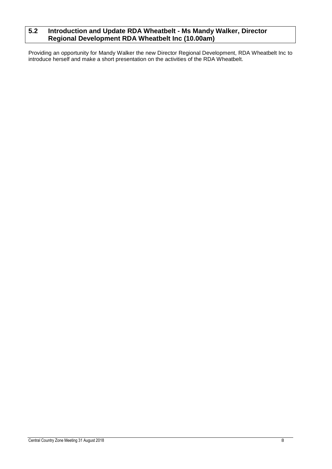## <span id="page-8-0"></span>**5.2 Introduction and Update RDA Wheatbelt - Ms Mandy Walker, Director Regional Development RDA Wheatbelt Inc (10.00am)**

Providing an opportunity for Mandy Walker the new Director Regional Development, RDA Wheatbelt Inc to introduce herself and make a short presentation on the activities of the RDA Wheatbelt.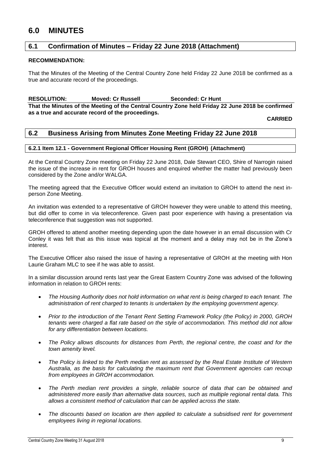## <span id="page-9-0"></span>**6.0 MINUTES**

#### <span id="page-9-1"></span>**6.1 Confirmation of Minutes – Friday 22 June 2018 (Attachment)**

#### **RECOMMENDATION:**

That the Minutes of the Meeting of the Central Country Zone held Friday 22 June 2018 be confirmed as a true and accurate record of the proceedings.

**RESOLUTION: Moved: Cr Russell Seconded: Cr Hunt**

**That the Minutes of the Meeting of the Central Country Zone held Friday 22 June 2018 be confirmed as a true and accurate record of the proceedings.**

**CARRIED**

#### <span id="page-9-2"></span>**6.2 Business Arising from Minutes Zone Meeting Friday 22 June 2018**

#### <span id="page-9-3"></span>**6.2.1 Item 12.1 - Government Regional Officer Housing Rent (GROH) (Attachment)**

At the Central Country Zone meeting on Friday 22 June 2018, Dale Stewart CEO, Shire of Narrogin raised the issue of the increase in rent for GROH houses and enquired whether the matter had previously been considered by the Zone and/or WALGA.

The meeting agreed that the Executive Officer would extend an invitation to GROH to attend the next inperson Zone Meeting.

An invitation was extended to a representative of GROH however they were unable to attend this meeting, but did offer to come in via teleconference. Given past poor experience with having a presentation via teleconference that suggestion was not supported.

GROH offered to attend another meeting depending upon the date however in an email discussion with Cr Conley it was felt that as this issue was topical at the moment and a delay may not be in the Zone's interest.

The Executive Officer also raised the issue of having a representative of GROH at the meeting with Hon Laurie Graham MLC to see if he was able to assist.

In a similar discussion around rents last year the Great Eastern Country Zone was advised of the following information in relation to GROH rents:

- *The Housing Authority does not hold information on what rent is being charged to each tenant. The administration of rent charged to tenants is undertaken by the employing government agency.*
- *Prior to the introduction of the Tenant Rent Setting Framework Policy (the Policy) in 2000, GROH tenants were charged a flat rate based on the style of accommodation. This method did not allow for any differentiation between locations.*
- *The Policy allows discounts for distances from Perth, the regional centre, the coast and for the town amenity level.*
- *The Policy is linked to the Perth median rent as assessed by the Real Estate Institute of Western Australia, as the basis for calculating the maximum rent that Government agencies can recoup from employees in GROH accommodation.*
- *The Perth median rent provides a single, reliable source of data that can be obtained and administered more easily than alternative data sources, such as multiple regional rental data. This allows a consistent method of calculation that can be applied across the state.*
- *The discounts based on location are then applied to calculate a subsidised rent for government employees living in regional locations.*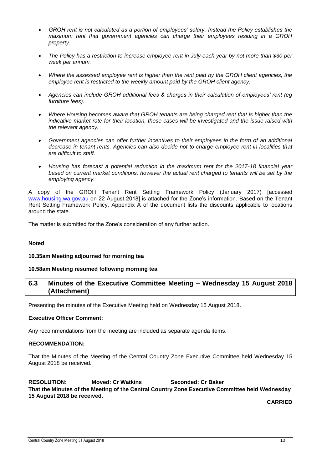- *GROH rent is not calculated as a portion of employees' salary. Instead the Policy establishes the maximum rent that government agencies can charge their employees residing in a GROH property.*
- *The Policy has a restriction to increase employee rent in July each year by not more than \$30 per week per annum.*
- *Where the assessed employee rent is higher than the rent paid by the GROH client agencies, the employee rent is restricted to the weekly amount paid by the GROH client agency.*
- *Agencies can include GROH additional fees & charges in their calculation of employees' rent (eg furniture fees).*
- *Where Housing becomes aware that GROH tenants are being charged rent that is higher than the indicative market rate for their location, these cases will be investigated and the issue raised with the relevant agency.*
- *Government agencies can offer further incentives to their employees in the form of an additional decrease in tenant rents. Agencies can also decide not to charge employee rent in localities that are difficult to staff.*
- *Housing has forecast a potential reduction in the maximum rent for the 2017-18 financial year based on current market conditions, however the actual rent charged to tenants will be set by the employing agency.*

A copy of the GROH Tenant Rent Setting Framework Policy (January 2017) [accessed [www.housing.wa.gov.au](http://www.housing.wa.gov.au/) on 22 August 2018] is attached for the Zone's information. Based on the Tenant Rent Setting Framework Policy, Appendix A of the document lists the discounts applicable to locations around the state.

The matter is submitted for the Zone's consideration of any further action.

#### **Noted**

#### **10.35am Meeting adjourned for morning tea**

#### **10.58am Meeting resumed following morning tea**

#### <span id="page-10-0"></span>**6.3 Minutes of the Executive Committee Meeting – Wednesday 15 August 2018 (Attachment)**

Presenting the minutes of the Executive Meeting held on Wednesday 15 August 2018.

#### **Executive Officer Comment:**

Any recommendations from the meeting are included as separate agenda items.

#### **RECOMMENDATION:**

That the Minutes of the Meeting of the Central Country Zone Executive Committee held Wednesday 15 August 2018 be received.

**RESOLUTION: Moved: Cr Watkins Seconded: Cr Baker That the Minutes of the Meeting of the Central Country Zone Executive Committee held Wednesday 15 August 2018 be received.**

**CARRIED**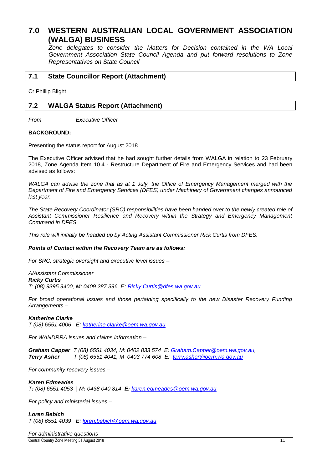## <span id="page-11-0"></span>**7.0 WESTERN AUSTRALIAN LOCAL GOVERNMENT ASSOCIATION (WALGA) BUSINESS**

*Zone delegates to consider the Matters for Decision contained in the WA Local Government Association State Council Agenda and put forward resolutions to Zone Representatives on State Council*

#### <span id="page-11-1"></span>**7.1 State Councillor Report (Attachment)**

Cr Phillip Blight

#### <span id="page-11-2"></span>**7.2 WALGA Status Report (Attachment)**

*From Executive Officer*

#### **BACKGROUND:**

Presenting the status report for August 2018

The Executive Officer advised that he had sought further details from WALGA in relation to 23 February 2018, Zone Agenda Item 10.4 - Restructure Department of Fire and Emergency Services and had been advised as follows:

*WALGA can advise the zone that as at 1 July, the Office of Emergency Management merged with the Department of Fire and Emergency Services (DFES) under Machinery of Government changes announced last year.*

*The State Recovery Coordinator (SRC) responsibilities have been handed over to the newly created role of Assistant Commissioner Resilience and Recovery within the Strategy and Emergency Management Command in DFES.*

*This role will initially be headed up by Acting Assistant Commissioner Rick Curtis from DFES.*

#### *Points of Contact within the Recovery Team are as follows:*

*For SRC, strategic oversight and executive level issues –*

*A/Assistant Commissioner Ricky Curtis*

*T: (08) 9395 9400, M: 0409 287 396, E: [Ricky.Curtis@dfes.wa.gov.au](mailto:Ricky.Curtis@dfes.wa.gov.au)*

*For broad operational issues and those pertaining specifically to the new Disaster Recovery Funding Arrangements –*

#### *Katherine Clarke*

*T (08) 6551 4006 E: [katherine.clarke@oem.wa.gov.au](mailto:katherine.clarke@oem.wa.gov.au)*

*For WANDRRA issues and claims information –*

*Graham Capper T (08) 6551 4034, M: 0402 833 574 E: [Graham.Capper@oem.wa.gov.au,](mailto:Graham.Capper@oem.wa.gov.au) Terry Asher T (08) 6551 4041, M 0403 774 608 E: [terry.asher@oem.wa.gov.au](mailto:terry.asher@oem.wa.gov.au)*

*For community recovery issues –*

#### *Karen Edmeades*

*T: (08) 6551 4053 | M: 0438 040 814 E: [karen.edmeades@oem.wa.gov.au](mailto:karen.edmeades@oem.wa.gov.au)*

*For policy and ministerial issues –*

#### *Loren Bebich*

*T (08) 6551 4039 E: [loren.bebich@oem.wa.gov.au](mailto:loren.bebich@oem.wa.gov.au)*

Central Country Zone Meeting 31 August 2018 11 *For administrative questions –*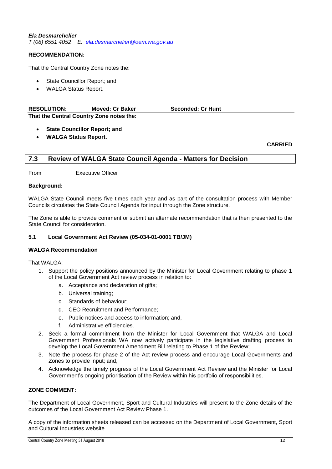#### *Ela Desmarchelier*

*T (08) 6551 4052 E: [ela.desmarchelier@oem.wa.gov.au](mailto:ela.desmarchelier@oem.wa.gov.au)*

#### **RECOMMENDATION:**

That the Central Country Zone notes the:

- State Councillor Report; and
- WALGA Status Report.

| <b>RESOLUTION:</b> | <b>Moved: Cr Baker</b>                   | <b>Seconded: Cr Hunt</b> |  |
|--------------------|------------------------------------------|--------------------------|--|
|                    | That the Central Country Zone notes the: |                          |  |

- **State Councillor Report; and**
- **WALGA Status Report.**

**CARRIED**

#### <span id="page-12-0"></span>**7.3 Review of WALGA State Council Agenda - Matters for Decision**

From Executive Officer

#### **Background:**

WALGA State Council meets five times each year and as part of the consultation process with Member Councils circulates the State Council Agenda for input through the Zone structure.

The Zone is able to provide comment or submit an alternate recommendation that is then presented to the State Council for consideration.

#### **5.1 Local Government Act Review (05-034-01-0001 TB/JM)**

#### **WALGA Recommendation**

That WALGA:

- 1. Support the policy positions announced by the Minister for Local Government relating to phase 1 of the Local Government Act review process in relation to:
	- a. Acceptance and declaration of gifts;
	- b. Universal training;
	- c. Standards of behaviour;
	- d. CEO Recruitment and Performance;
	- e. Public notices and access to information; and,
	- Administrative efficiencies.
- 2. Seek a formal commitment from the Minister for Local Government that WALGA and Local Government Professionals WA now actively participate in the legislative drafting process to develop the Local Government Amendment Bill relating to Phase 1 of the Review;
- 3. Note the process for phase 2 of the Act review process and encourage Local Governments and Zones to provide input; and,
- 4. Acknowledge the timely progress of the Local Government Act Review and the Minister for Local Government's ongoing prioritisation of the Review within his portfolio of responsibilities.

#### **ZONE COMMENT:**

The Department of Local Government, Sport and Cultural Industries will present to the Zone details of the outcomes of the Local Government Act Review Phase 1.

A copy of the information sheets released can be accessed on the Department of Local Government, Sport and Cultural Industries website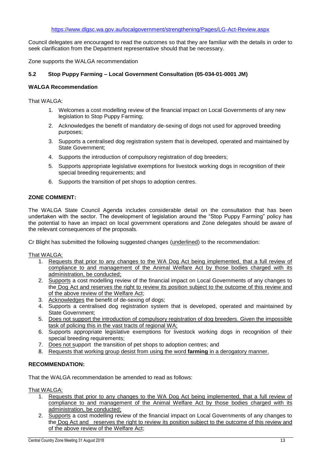Council delegates are encouraged to read the outcomes so that they are familiar with the details in order to seek clarification from the Department representative should that be necessary.

Zone supports the WALGA recommendation

#### **5.2 Stop Puppy Farming – Local Government Consultation (05-034-01-0001 JM)**

#### **WALGA Recommendation**

That WALGA:

- 1. Welcomes a cost modelling review of the financial impact on Local Governments of any new legislation to Stop Puppy Farming;
- 2. Acknowledges the benefit of mandatory de-sexing of dogs not used for approved breeding purposes;
- 3. Supports a centralised dog registration system that is developed, operated and maintained by State Government;
- 4. Supports the introduction of compulsory registration of dog breeders;
- 5. Supports appropriate legislative exemptions for livestock working dogs in recognition of their special breeding requirements; and
- 6. Supports the transition of pet shops to adoption centres.

#### **ZONE COMMENT:**

The WALGA State Council Agenda includes considerable detail on the consultation that has been undertaken with the sector. The development of legislation around the "Stop Puppy Farming" policy has the potential to have an impact on local government operations and Zone delegates should be aware of the relevant consequences of the proposals.

Cr Blight has submitted the following suggested changes (underlined) to the recommendation:

That WALGA:

- 1. Requests that prior to any changes to the WA Dog Act being implemented, that a full review of compliance to and management of the Animal Welfare Act by those bodies charged with its administration, be conducted;
- 2. Supports a cost modelling review of the financial impact on Local Governments of any changes to the Dog Act and reserves the right to review its position subject to the outcome of this review and of the above review of the Welfare Act;
- 3. Acknowledges the benefit of de-sexing of dogs;
- 4. Supports a centralised dog registration system that is developed, operated and maintained by State Government;
- 5. Does not support the introduction of compulsory registration of dog breeders. Given the impossible task of policing this in the vast tracts of regional WA;
- 6. Supports appropriate legislative exemptions for livestock working dogs in recognition of their special breeding requirements;
- 7. Does not support the transition of pet shops to adoption centres; and
- 8. Requests that working group desist from using the word **farming** in a derogatory manner.

#### **RECOMMENDATION:**

That the WALGA recommendation be amended to read as follows:

That WALGA:

- 1. Requests that prior to any changes to the WA Dog Act being implemented, that a full review of compliance to and management of the Animal Welfare Act by those bodies charged with its administration, be conducted;
- 2. Supports a cost modelling review of the financial impact on Local Governments of any changes to the Dog Act and reserves the right to review its position subject to the outcome of this review and of the above review of the Welfare Act;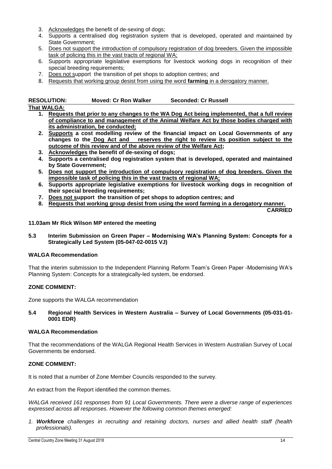- 3. Acknowledges the benefit of de-sexing of dogs;
- 4. Supports a centralised dog registration system that is developed, operated and maintained by State Government;
- 5. Does not support the introduction of compulsory registration of dog breeders. Given the impossible task of policing this in the vast tracts of regional WA;
- 6. Supports appropriate legislative exemptions for livestock working dogs in recognition of their special breeding requirements;
- 7. Does not support the transition of pet shops to adoption centres; and
- 8. Requests that working group desist from using the word **farming** in a derogatory manner.

| <b>RESOLUTION:</b> | <b>Moved: Cr Ron Walker</b> | <b>Seconded: Cr Russell</b> |
|--------------------|-----------------------------|-----------------------------|
|                    |                             |                             |

#### **That WALGA:**

- **1. Requests that prior to any changes to the WA Dog Act being implemented, that a full review of compliance to and management of the Animal Welfare Act by those bodies charged with its administration, be conducted;**
- **2. Supports a cost modelling review of the financial impact on Local Governments of any changes to the Dog Act and reserves the right to review its position subject to the outcome of this review and of the above review of the Welfare Act;**
- **3. Acknowledges the benefit of de-sexing of dogs;**
- **4. Supports a centralised dog registration system that is developed, operated and maintained by State Government;**
- **5. Does not support the introduction of compulsory registration of dog breeders. Given the impossible task of policing this in the vast tracts of regional WA;**
- **6. Supports appropriate legislative exemptions for livestock working dogs in recognition of their special breeding requirements;**
- **7. Does not support the transition of pet shops to adoption centres; and**
- **8. Requests that working group desist from using the word farming in a derogatory manner.**

**CARRIED**

**11.03am Mr Rick Wilson MP entered the meeting**

**5.3 Interim Submission on Green Paper – Modernising WA's Planning System: Concepts for a Strategically Led System (05-047-02-0015 VJ)**

#### **WALGA Recommendation**

That the interim submission to the Independent Planning Reform Team's Green Paper -Modernising WA's Planning System: Concepts for a strategically-led system, be endorsed.

#### **ZONE COMMENT:**

Zone supports the WALGA recommendation

#### **5.4 Regional Health Services in Western Australia – Survey of Local Governments (05-031-01- 0001 EDR)**

#### **WALGA Recommendation**

That the recommendations of the WALGA Regional Health Services in Western Australian Survey of Local Governments be endorsed.

#### **ZONE COMMENT:**

It is noted that a number of Zone Member Councils responded to the survey.

An extract from the Report identified the common themes.

*WALGA received 161 responses from 91 Local Governments. There were a diverse range of experiences expressed across all responses. However the following common themes emerged:*

*1. Workforce challenges in recruiting and retaining doctors, nurses and allied health staff (health professionals).*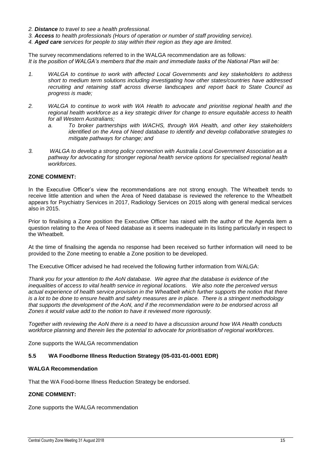- *2. Distance to travel to see a health professional.*
- *3. Access to health professionals (Hours of operation or number of staff providing service).*
- *4. Aged care services for people to stay within their region as they age are limited.*

The survey recommendations referred to in the WALGA recommendation are as follows: *It is the position of WALGA's members that the main and immediate tasks of the National Plan will be:*

- *1. WALGA to continue to work with affected Local Governments and key stakeholders to address short to medium term solutions including investigating how other states/countries have addressed recruiting and retaining staff across diverse landscapes and report back to State Council as progress is made;*
- *2. WALGA to continue to work with WA Health to advocate and prioritise regional health and the regional health workforce as a key strategic driver for change to ensure equitable access to health for all Western Australians;*
	- *a. To broker partnerships with WACHS, through WA Health, and other key stakeholders identified on the Area of Need database to identify and develop collaborative strategies to mitigate pathways for change; and*
- *3. WALGA to develop a strong policy connection with Australia Local Government Association as a pathway for advocating for stronger regional health service options for specialised regional health workforces.*

#### **ZONE COMMENT:**

In the Executive Officer's view the recommendations are not strong enough. The Wheatbelt tends to receive little attention and when the Area of Need database is reviewed the reference to the Wheatbelt appears for Psychiatry Services in 2017, Radiology Services on 2015 along with general medical services also in 2015.

Prior to finalising a Zone position the Executive Officer has raised with the author of the Agenda item a question relating to the Area of Need database as it seems inadequate in its listing particularly in respect to the Wheatbelt.

At the time of finalising the agenda no response had been received so further information will need to be provided to the Zone meeting to enable a Zone position to be developed.

The Executive Officer advised he had received the following further information from WALGA:

*Thank you for your attention to the AoN database. We agree that the database is evidence of the inequalities of access to vital health service in regional locations. We also note the perceived versus actual experience of health service provision in the Wheatbelt which further supports the notion that there is a lot to be done to ensure health and safety measures are in place. There is a stringent methodology that supports the development of the AoN, and if the recommendation were to be endorsed across all Zones it would value add to the notion to have it reviewed more rigorously.* 

*Together with reviewing the AoN there is a need to have a discussion around how WA Health conducts workforce planning and therein lies the potential to advocate for prioritisation of regional workforces.* 

Zone supports the WALGA recommendation

#### **5.5 WA Foodborne Illness Reduction Strategy (05-031-01-0001 EDR)**

#### **WALGA Recommendation**

That the WA Food-borne Illness Reduction Strategy be endorsed.

#### **ZONE COMMENT:**

Zone supports the WALGA recommendation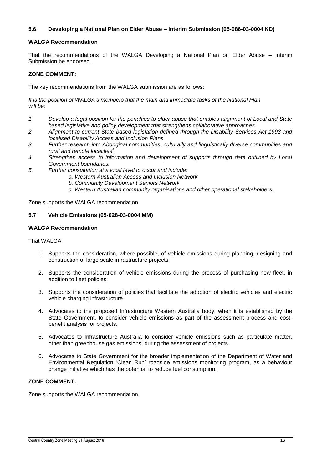#### **5.6 Developing a National Plan on Elder Abuse – Interim Submission (05-086-03-0004 KD)**

#### **WALGA Recommendation**

That the recommendations of the WALGA Developing a National Plan on Elder Abuse – Interim Submission be endorsed.

#### **ZONE COMMENT:**

The key recommendations from the WALGA submission are as follows:

*It is the position of WALGA's members that the main and immediate tasks of the National Plan will be:*

- *1. Develop a legal position for the penalties to elder abuse that enables alignment of Local and State based legislative and policy development that strengthens collaborative approaches.*
- *2. Alignment to current State based legislation defined through the Disability Services Act 1993 and localised Disability Access and Inclusion Plans.*
- *3. Further research into Aboriginal communities, culturally and linguistically diverse communities and rural and remote localities<sup>4</sup> .*
- *4. Strengthen access to information and development of supports through data outlined by Local Government boundaries.*
- *5. Further consultation at a local level to occur and include:*
	- *a. Western Australian Access and Inclusion Network*
	- *b. Community Development Seniors Network*
	- *c. Western Australian community organisations and other operational stakeholders.*

Zone supports the WALGA recommendation

#### **5.7 Vehicle Emissions (05-028-03-0004 MM)**

#### **WALGA Recommendation**

#### That WALGA:

- 1. Supports the consideration, where possible, of vehicle emissions during planning, designing and construction of large scale infrastructure projects.
- 2. Supports the consideration of vehicle emissions during the process of purchasing new fleet, in addition to fleet policies.
- 3. Supports the consideration of policies that facilitate the adoption of electric vehicles and electric vehicle charging infrastructure.
- 4. Advocates to the proposed Infrastructure Western Australia body, when it is established by the State Government, to consider vehicle emissions as part of the assessment process and costbenefit analysis for projects.
- 5. Advocates to Infrastructure Australia to consider vehicle emissions such as particulate matter, other than greenhouse gas emissions, during the assessment of projects.
- 6. Advocates to State Government for the broader implementation of the Department of Water and Environmental Regulation 'Clean Run' roadside emissions monitoring program, as a behaviour change initiative which has the potential to reduce fuel consumption.

#### **ZONE COMMENT:**

Zone supports the WALGA recommendation.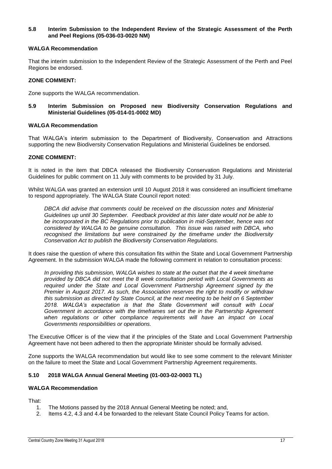#### **5.8 Interim Submission to the Independent Review of the Strategic Assessment of the Perth and Peel Regions (05-036-03-0020 NM)**

#### **WALGA Recommendation**

That the interim submission to the Independent Review of the Strategic Assessment of the Perth and Peel Regions be endorsed.

#### **ZONE COMMENT:**

Zone supports the WALGA recommendation.

**5.9 Interim Submission on Proposed new Biodiversity Conservation Regulations and Ministerial Guidelines (05-014-01-0002 MD)**

#### **WALGA Recommendation**

That WALGA's interim submission to the Department of Biodiversity, Conservation and Attractions supporting the new Biodiversity Conservation Regulations and Ministerial Guidelines be endorsed.

#### **ZONE COMMENT:**

It is noted in the item that DBCA released the Biodiversity Conservation Regulations and Ministerial Guidelines for public comment on 11 July with comments to be provided by 31 July.

Whilst WALGA was granted an extension until 10 August 2018 it was considered an insufficient timeframe to respond appropriately. The WALGA State Council report noted:

*DBCA did advise that comments could be received on the discussion notes and Ministerial Guidelines up until 30 September. Feedback provided at this later date would not be able to be incorporated in the BC Regulations prior to publication in mid-September, hence was not considered by WALGA to be genuine consultation. This issue was raised with DBCA, who recognised the limitations but were constrained by the timeframe under the Biodiversity Conservation Act to publish the Biodiversity Conservation Regulations.*

It does raise the question of where this consultation fits within the State and Local Government Partnership Agreement. In the submission WALGA made the following comment in relation to consultation process:

*In providing this submission, WALGA wishes to state at the outset that the 4 week timeframe provided by DBCA did not meet the 8 week consultation period with Local Governments as required under the State and Local Government Partnership Agreement signed by the Premier in August 2017. As such, the Association reserves the right to modify or withdraw this submission as directed by State Council, at the next meeting to be held on 6 September 2018. WALGA's expectation is that the State Government will consult with Local Government in accordance with the timeframes set out the in the Partnership Agreement*  when regulations or other compliance reguirements will have an impact on Local *Governments responsibilities or operations.*

The Executive Officer is of the view that if the principles of the State and Local Government Partnership Agreement have not been adhered to then the appropriate Minister should be formally advised.

Zone supports the WALGA recommendation but would like to see some comment to the relevant Minister on the failure to meet the State and Local Government Partnership Agreement requirements.

#### **5.10 2018 WALGA Annual General Meeting (01-003-02-0003 TL)**

#### **WALGA Recommendation**

That:

- 1. The Motions passed by the 2018 Annual General Meeting be noted; and,
- 2. Items 4.2, 4.3 and 4.4 be forwarded to the relevant State Council Policy Teams for action.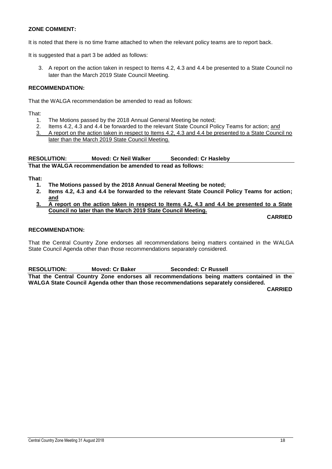#### **ZONE COMMENT:**

It is noted that there is no time frame attached to when the relevant policy teams are to report back.

It is suggested that a part 3 be added as follows:

3. A report on the action taken in respect to Items 4.2, 4.3 and 4.4 be presented to a State Council no later than the March 2019 State Council Meeting.

#### **RECOMMENDATION:**

That the WALGA recommendation be amended to read as follows:

That:

- 1. The Motions passed by the 2018 Annual General Meeting be noted;
- 2. Items 4.2, 4.3 and 4.4 be forwarded to the relevant State Council Policy Teams for action; and
- 3. A report on the action taken in respect to Items 4.2, 4.3 and 4.4 be presented to a State Council no later than the March 2019 State Council Meeting.

**RESOLUTION: Moved: Cr Neil Walker Seconded: Cr Hasleby That the WALGA recommendation be amended to read as follows:**

**That:**

- **1. The Motions passed by the 2018 Annual General Meeting be noted;**
- **2. Items 4.2, 4.3 and 4.4 be forwarded to the relevant State Council Policy Teams for action; and**
- **3. A report on the action taken in respect to Items 4.2, 4.3 and 4.4 be presented to a State Council no later than the March 2019 State Council Meeting.**

**CARRIED**

#### **RECOMMENDATION:**

That the Central Country Zone endorses all recommendations being matters contained in the WALGA State Council Agenda other than those recommendations separately considered.

**RESOLUTION: Moved: Cr Baker Seconded: Cr Russell**

**That the Central Country Zone endorses all recommendations being matters contained in the WALGA State Council Agenda other than those recommendations separately considered.**

**CARRIED**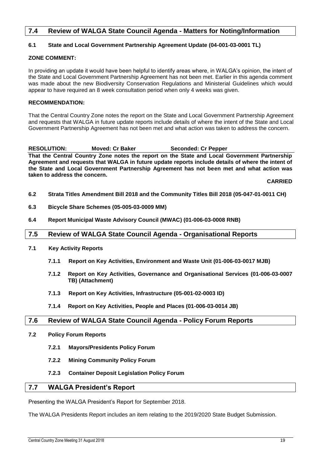#### <span id="page-19-0"></span>**7.4 Review of WALGA State Council Agenda - Matters for Noting/Information**

#### **6.1 State and Local Government Partnership Agreement Update (04-001-03-0001 TL)**

#### **ZONE COMMENT:**

In providing an update it would have been helpful to identify areas where, in WALGA's opinion, the intent of the State and Local Government Partnership Agreement has not been met. Earlier in this agenda comment was made about the new Biodiversity Conservation Regulations and Ministerial Guidelines which would appear to have required an 8 week consultation period when only 4 weeks was given.

#### **RECOMMENDATION:**

That the Central Country Zone notes the report on the State and Local Government Partnership Agreement and requests that WALGA in future update reports include details of where the intent of the State and Local Government Partnership Agreement has not been met and what action was taken to address the concern.

**RESOLUTION: Moved: Cr Baker Seconded: Cr Pepper That the Central Country Zone notes the report on the State and Local Government Partnership Agreement and requests that WALGA in future update reports include details of where the intent of the State and Local Government Partnership Agreement has not been met and what action was taken to address the concern.**

**CARRIED**

- **6.2 Strata Titles Amendment Bill 2018 and the Community Titles Bill 2018 (05-047-01-0011 CH)**
- **6.3 Bicycle Share Schemes (05-005-03-0009 MM)**
- **6.4 Report Municipal Waste Advisory Council (MWAC) (01-006-03-0008 RNB)**

#### <span id="page-19-1"></span>**7.5 Review of WALGA State Council Agenda - Organisational Reports**

- **7.1 Key Activity Reports**
	- **7.1.1 Report on Key Activities, Environment and Waste Unit (01-006-03-0017 MJB)**
	- **7.1.2 Report on Key Activities, Governance and Organisational Services (01-006-03-0007 TB) (Attachment)**
	- **7.1.3 Report on Key Activities, Infrastructure (05-001-02-0003 ID)**
	- **7.1.4 Report on Key Activities, People and Places (01-006-03-0014 JB)**

#### <span id="page-19-2"></span>**7.6 Review of WALGA State Council Agenda - Policy Forum Reports**

- **7.2 Policy Forum Reports**
	- **7.2.1 Mayors/Presidents Policy Forum**
	- **7.2.2 Mining Community Policy Forum**
	- **7.2.3 Container Deposit Legislation Policy Forum**

#### <span id="page-19-3"></span>**7.7 WALGA President's Report**

Presenting the WALGA President's Report for September 2018.

The WALGA Presidents Report includes an item relating to the 2019/2020 State Budget Submission.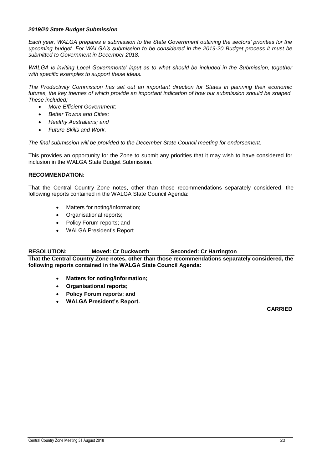#### *2019/20 State Budget Submission*

*Each year, WALGA prepares a submission to the State Government outlining the sectors' priorities for the upcoming budget. For WALGA's submission to be considered in the 2019-20 Budget process it must be submitted to Government in December 2018.* 

WALGA is inviting Local Governments' input as to what should be included in the Submission, together *with specific examples to support these ideas.* 

*The Productivity Commission has set out an important direction for States in planning their economic*  futures, the key themes of which provide an important indication of how our submission should be shaped. *These included;* 

- *More Efficient Government;*
- *Better Towns and Cities;*
- *Healthy Australians; and*
- *Future Skills and Work.*

*The final submission will be provided to the December State Council meeting for endorsement.*

This provides an opportunity for the Zone to submit any priorities that it may wish to have considered for inclusion in the WALGA State Budget Submission.

#### **RECOMMENDATION:**

That the Central Country Zone notes, other than those recommendations separately considered, the following reports contained in the WALGA State Council Agenda:

- Matters for noting/Information;
- Organisational reports;
- Policy Forum reports; and
- WALGA President's Report.

#### **RESOLUTION: Moved: Cr Duckworth Seconded: Cr Harrington**

**That the Central Country Zone notes, other than those recommendations separately considered, the following reports contained in the WALGA State Council Agenda:**

- **Matters for noting/Information;**
- **Organisational reports;**
- **Policy Forum reports; and**
- **WALGA President's Report.**

**CARRIED**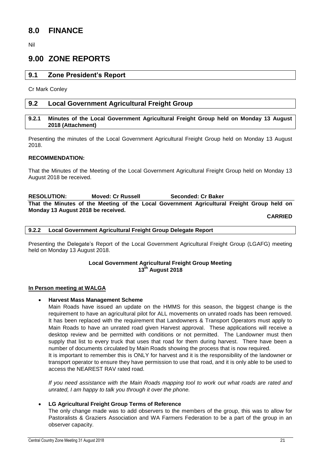## <span id="page-21-0"></span>**8.0 FINANCE**

Nil

## <span id="page-21-1"></span>**9.00 ZONE REPORTS**

#### <span id="page-21-2"></span>**9.1 Zone President's Report**

Cr Mark Conley

#### <span id="page-21-3"></span>**9.2 Local Government Agricultural Freight Group**

#### <span id="page-21-4"></span>**9.2.1 Minutes of the Local Government Agricultural Freight Group held on Monday 13 August 2018 (Attachment)**

Presenting the minutes of the Local Government Agricultural Freight Group held on Monday 13 August 2018.

#### **RECOMMENDATION:**

That the Minutes of the Meeting of the Local Government Agricultural Freight Group held on Monday 13 August 2018 be received.

**RESOLUTION: Moved: Cr Russell Seconded: Cr Baker That the Minutes of the Meeting of the Local Government Agricultural Freight Group held on Monday 13 August 2018 be received.**

**CARRIED**

<span id="page-21-5"></span>**9.2.2 Local Government Agricultural Freight Group Delegate Report**

Presenting the Delegate's Report of the Local Government Agricultural Freight Group (LGAFG) meeting held on Monday 13 August 2018.

#### **Local Government Agricultural Freight Group Meeting 13th August 2018**

#### **In Person meeting at WALGA**

#### **Harvest Mass Management Scheme**

Main Roads have issued an update on the HMMS for this season, the biggest change is the requirement to have an agricultural pilot for ALL movements on unrated roads has been removed. It has been replaced with the requirement that Landowners & Transport Operators must apply to Main Roads to have an unrated road given Harvest approval. These applications will receive a desktop review and be permitted with conditions or not permitted. The Landowner must then supply that list to every truck that uses that road for them during harvest. There have been a number of documents circulated by Main Roads showing the process that is now required. It is important to remember this is ONLY for harvest and it is the responsibility of the landowner or

transport operator to ensure they have permission to use that road, and it is only able to be used to access the NEAREST RAV rated road.

*If you need assistance with the Main Roads mapping tool to work out what roads are rated and unrated, I am happy to talk you through it over the phone.*

#### **LG Agricultural Freight Group Terms of Reference**

The only change made was to add observers to the members of the group, this was to allow for Pastoralists & Graziers Association and WA Farmers Federation to be a part of the group in an observer capacity.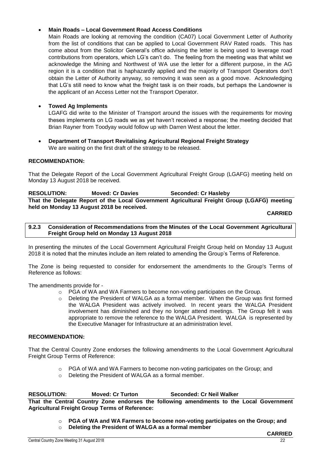#### **Main Roads – Local Government Road Access Conditions**

Main Roads are looking at removing the condition (CA07) Local Government Letter of Authority from the list of conditions that can be applied to Local Government RAV Rated roads. This has come about from the Solicitor General's office advising the letter is being used to leverage road contributions from operators, which LG's can't do. The feeling from the meeting was that whilst we acknowledge the Mining and Northwest of WA use the letter for a different purpose, in the AG region it is a condition that is haphazardly applied and the majority of Transport Operators don't obtain the Letter of Authority anyway, so removing it was seen as a good move. Acknowledging that LG's still need to know what the freight task is on their roads, but perhaps the Landowner is the applicant of an Access Letter not the Transport Operator.

#### **Towed Ag Implements**

LGAFG did write to the Minister of Transport around the issues with the requirements for moving theses implements on LG roads we as yet haven't received a response; the meeting decided that Brian Rayner from Toodyay would follow up with Darren West about the letter.

 **Department of Transport Revitalising Agricultural Regional Freight Strategy** We are waiting on the first draft of the strategy to be released.

#### **RECOMMENDATION:**

That the Delegate Report of the Local Government Agricultural Freight Group (LGAFG) meeting held on Monday 13 August 2018 be received.

| <b>RESOLUTION:</b> | <b>Moved: Cr Davies</b>                                                                     | Seconded: Cr Hasleby |  |  |
|--------------------|---------------------------------------------------------------------------------------------|----------------------|--|--|
|                    | That the Delegate Report of the Local Government Agricultural Freight Group (LGAFG) meeting |                      |  |  |
|                    | held on Monday 13 August 2018 be received.                                                  |                      |  |  |

#### **CARRIED**

#### <span id="page-22-0"></span>**9.2.3 Consideration of Recommendations from the Minutes of the Local Government Agricultural Freight Group held on Monday 13 August 2018**

In presenting the minutes of the Local Government Agricultural Freight Group held on Monday 13 August 2018 it is noted that the minutes include an item related to amending the Group's Terms of Reference.

The Zone is being requested to consider for endorsement the amendments to the Group's Terms of Reference as follows:

The amendments provide for -

- o PGA of WA and WA Farmers to become non-voting participates on the Group.
- Deleting the President of WALGA as a formal member. When the Group was first formed the WALGA President was actively involved. In recent years the WALGA President involvement has diminished and they no longer attend meetings. The Group felt it was appropriate to remove the reference to the WALGA President. WALGA is represented by the Executive Manager for Infrastructure at an administration level.

#### **RECOMMENDATION:**

That the Central Country Zone endorses the following amendments to the Local Government Agricultural Freight Group Terms of Reference:

- $\circ$  PGA of WA and WA Farmers to become non-voting participates on the Group; and
- o Deleting the President of WALGA as a formal member.

**RESOLUTION: Moved: Cr Turton Seconded: Cr Neil Walker That the Central Country Zone endorses the following amendments to the Local Government Agricultural Freight Group Terms of Reference:**

- o **PGA of WA and WA Farmers to become non-voting participates on the Group; and**
- o **Deleting the President of WALGA as a formal member**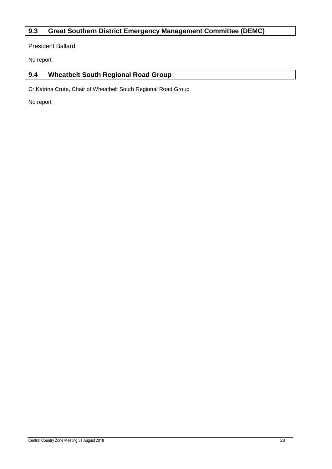## <span id="page-23-0"></span>**9.3 Great Southern District Emergency Management Committee (DEMC)**

President Ballard

No report

## <span id="page-23-1"></span>**9.4 Wheatbelt South Regional Road Group**

Cr Katrina Crute, Chair of Wheatbelt South Regional Road Group

No report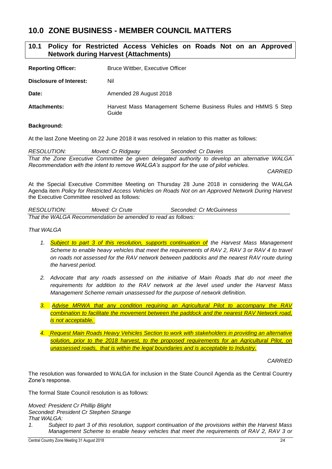## <span id="page-24-0"></span>**10.0 ZONE BUSINESS - MEMBER COUNCIL MATTERS**

### <span id="page-24-1"></span>**10.1 Policy for Restricted Access Vehicles on Roads Not on an Approved Network during Harvest (Attachments)**

| <b>Reporting Officer:</b> | Bruce Wittber, Executive Officer                                       |
|---------------------------|------------------------------------------------------------------------|
| Disclosure of Interest:   | Nil                                                                    |
| Date:                     | Amended 28 August 2018                                                 |
| <b>Attachments:</b>       | Harvest Mass Management Scheme Business Rules and HMMS 5 Step<br>Guide |

#### **Background:**

At the last Zone Meeting on 22 June 2018 it was resolved in relation to this matter as follows:

*RESOLUTION: Moved: Cr Ridgway Seconded: Cr Davies That the Zone Executive Committee be given delegated authority to develop an alternative WALGA Recommendation with the intent to remove WALGA's support for the use of pilot vehicles.* 

*CARRIED*

At the Special Executive Committee Meeting on Thursday 28 June 2018 in considering the WALGA Agenda item *Policy for Restricted Access Vehicles on Roads Not on an Approved Network During Harvest* the Executive Committee resolved as follows:

| <b>RESOLUTION:</b> | Moved: Cr Crute                                              | Seconded: Cr McGuinness |  |
|--------------------|--------------------------------------------------------------|-------------------------|--|
|                    | That the WALGA Recommendation be amended to read as follows: |                         |  |

*That WALGA* 

- *1. Subject to part 3 of this resolution, supports continuation of the Harvest Mass Management Scheme to enable heavy vehicles that meet the requirements of RAV 2, RAV 3 or RAV 4 to travel on roads not assessed for the RAV network between paddocks and the nearest RAV route during the harvest period.*
- *2. Advocate that any roads assessed on the initiative of Main Roads that do not meet the requirements for addition to the RAV network at the level used under the Harvest Mass Management Scheme remain unassessed for the purpose of network definition.*
- *3. Advise MRWA that any condition requiring an Agricultural Pilot to accompany the RAV combination to facilitate the movement between the paddock and the nearest RAV Network road, is not acceptable.*
- *4. Request Main Roads Heavy Vehicles Section to work with stakeholders in providing an alternative solution, prior to the 2018 harvest, to the proposed requirements for an Agricultural Pilot, on unassessed roads, that is within the legal boundaries and is acceptable to Industry.*

*CARRIED*

The resolution was forwarded to WALGA for inclusion in the State Council Agenda as the Central Country Zone's response.

The formal State Council resolution is as follows:

*Moved: President Cr Phillip Blight Seconded: President Cr Stephen Strange That WALGA:*

*1. Subject to part 3 of this resolution, support continuation of the provisions within the Harvest Mass Management Scheme to enable heavy vehicles that meet the requirements of RAV 2, RAV 3 or*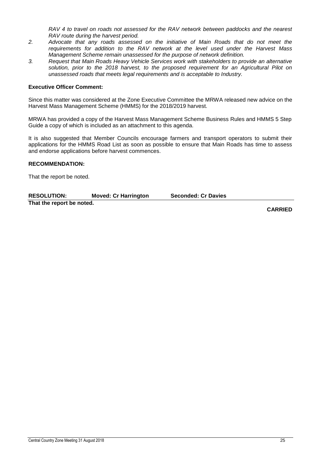*RAV 4 to travel on roads not assessed for the RAV network between paddocks and the nearest RAV route during the harvest period.*

- *2. Advocate that any roads assessed on the initiative of Main Roads that do not meet the requirements for addition to the RAV network at the level used under the Harvest Mass Management Scheme remain unassessed for the purpose of network definition.*
- *3. Request that Main Roads Heavy Vehicle Services work with stakeholders to provide an alternative solution, prior to the 2018 harvest, to the proposed requirement for an Agricultural Pilot on unassessed roads that meets legal requirements and is acceptable to Industry.*

#### **Executive Officer Comment:**

Since this matter was considered at the Zone Executive Committee the MRWA released new advice on the Harvest Mass Management Scheme (HMMS) for the 2018/2019 harvest.

MRWA has provided a copy of the Harvest Mass Management Scheme Business Rules and HMMS 5 Step Guide a copy of which is included as an attachment to this agenda.

It is also suggested that Member Councils encourage farmers and transport operators to submit their applications for the HMMS Road List as soon as possible to ensure that Main Roads has time to assess and endorse applications before harvest commences.

#### **RECOMMENDATION:**

That the report be noted.

| <b>RESOLUTION:</b>        | <b>Moved: Cr Harrington</b> | <b>Seconded: Cr Davies</b> |  |
|---------------------------|-----------------------------|----------------------------|--|
| That the report be noted. |                             |                            |  |

**CARRIED**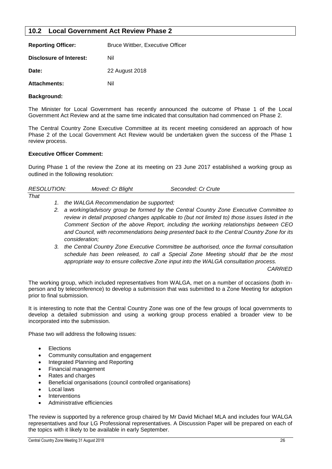#### <span id="page-26-0"></span>**10.2 Local Government Act Review Phase 2**

| <b>Reporting Officer:</b> | <b>Bruce Wittber, Executive Officer</b> |
|---------------------------|-----------------------------------------|
| Disclosure of Interest:   | Nil                                     |
| Date:                     | 22 August 2018                          |
| <b>Attachments:</b>       | Nil                                     |

#### **Background:**

The Minister for Local Government has recently announced the outcome of Phase 1 of the Local Government Act Review and at the same time indicated that consultation had commenced on Phase 2.

The Central Country Zone Executive Committee at its recent meeting considered an approach of how Phase 2 of the Local Government Act Review would be undertaken given the success of the Phase 1 review process.

#### **Executive Officer Comment:**

During Phase 1 of the review the Zone at its meeting on 23 June 2017 established a working group as outlined in the following resolution:

| <b>RESOLUTION:</b> | Moved: Cr Blight | Seconded: Cr Crute |
|--------------------|------------------|--------------------|
|--------------------|------------------|--------------------|

- *That*
- *1. the WALGA Recommendation be supported;*
- *2. a working/advisory group be formed by the Central Country Zone Executive Committee to review in detail proposed changes applicable to (but not limited to) those issues listed in the Comment Section of the above Report, including the working relationships between CEO and Council, with recommendations being presented back to the Central Country Zone for its consideration;*
- *3. the Central Country Zone Executive Committee be authorised, once the formal consultation schedule has been released, to call a Special Zone Meeting should that be the most appropriate way to ensure collective Zone input into the WALGA consultation process.*

*CARRIED*

The working group, which included representatives from WALGA, met on a number of occasions (both inperson and by teleconference) to develop a submission that was submitted to a Zone Meeting for adoption prior to final submission.

It is interesting to note that the Central Country Zone was one of the few groups of local governments to develop a detailed submission and using a working group process enabled a broader view to be incorporated into the submission.

Phase two will address the following issues:

- **Elections**
- Community consultation and engagement
- Integrated Planning and Reporting
- Financial management
- Rates and charges
- Beneficial organisations (council controlled organisations)
- Local laws
- **Interventions**
- Administrative efficiencies

The review is supported by a reference group chaired by Mr David Michael MLA and includes four WALGA representatives and four LG Professional representatives. A Discussion Paper will be prepared on each of the topics with it likely to be available in early September.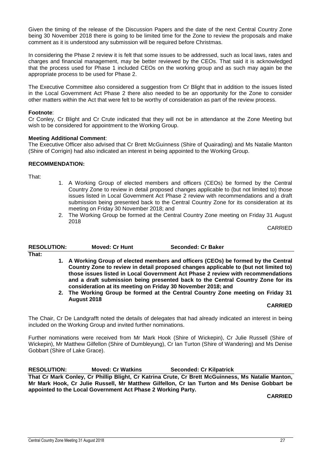Given the timing of the release of the Discussion Papers and the date of the next Central Country Zone being 30 November 2018 there is going to be limited time for the Zone to review the proposals and make comment as it is understood any submission will be required before Christmas.

In considering the Phase 2 review it is felt that some issues to be addressed, such as local laws, rates and charges and financial management, may be better reviewed by the CEOs. That said it is acknowledged that the process used for Phase 1 included CEOs on the working group and as such may again be the appropriate process to be used for Phase 2.

The Executive Committee also considered a suggestion from Cr Blight that in addition to the issues listed in the Local Government Act Phase 2 there also needed to be an opportunity for the Zone to consider other matters within the Act that were felt to be worthy of consideration as part of the review process.

#### **Footnote**:

Cr Conley, Cr Blight and Cr Crute indicated that they will not be in attendance at the Zone Meeting but wish to be considered for appointment to the Working Group.

#### **Meeting Additional Comment**:

The Executive Officer also advised that Cr Brett McGuinness (Shire of Quairading) and Ms Natalie Manton (Shire of Corrigin) had also indicated an interest in being appointed to the Working Group.

#### **RECOMMENDATION:**

That:

- 1. A Working Group of elected members and officers (CEOs) be formed by the Central Country Zone to review in detail proposed changes applicable to (but not limited to) those issues listed in Local Government Act Phase 2 review with recommendations and a draft submission being presented back to the Central Country Zone for its consideration at its meeting on Friday 30 November 2018; and
- 2. The Working Group be formed at the Central Country Zone meeting on Friday 31 August 2018

CARRIED

| <b>RESOLUTION:</b> | <b>Moved: Cr Hunt</b>                                                                                                                                                                                                                                                                                                                                                                                            | Seconded: Cr Baker |  |
|--------------------|------------------------------------------------------------------------------------------------------------------------------------------------------------------------------------------------------------------------------------------------------------------------------------------------------------------------------------------------------------------------------------------------------------------|--------------------|--|
| That:              |                                                                                                                                                                                                                                                                                                                                                                                                                  |                    |  |
|                    | 1. A Working Group of elected members and officers (CEOs) be formed by the Central<br>Country Zone to review in detail proposed changes applicable to (but not limited to)<br>those issues listed in Local Government Act Phase 2 review with recommendations<br>and a draft submission being presented back to the Central Country Zone for its<br>consideration at its meeting on Friday 30 November 2018; and |                    |  |

**2. The Working Group be formed at the Central Country Zone meeting on Friday 31 August 2018**

#### **CARRIED**

The Chair, Cr De Landgrafft noted the details of delegates that had already indicated an interest in being included on the Working Group and invited further nominations.

Further nominations were received from Mr Mark Hook (Shire of Wickepin), Cr Julie Russell (Shire of Wickepin), Mr Matthew Gilfellon (Shire of Dumbleyung), Cr Ian Turton (Shire of Wandering) and Ms Denise Gobbart (Shire of Lake Grace).

**RESOLUTION: Moved: Cr Watkins Seconded: Cr Kilpatrick**

**That Cr Mark Conley, Cr Phillip Blight, Cr Katrina Crute, Cr Brett McGuinness, Ms Natalie Manton, Mr Mark Hook, Cr Julie Russell, Mr Matthew Gilfellon, Cr Ian Turton and Ms Denise Gobbart be appointed to the Local Government Act Phase 2 Working Party.**

**CARRIED**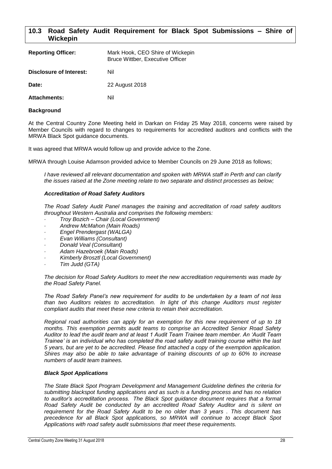#### <span id="page-28-0"></span>**10.3 Road Safety Audit Requirement for Black Spot Submissions – Shire of Wickepin**

| <b>Reporting Officer:</b> | Mark Hook, CEO Shire of Wickepin<br><b>Bruce Wittber, Executive Officer</b> |
|---------------------------|-----------------------------------------------------------------------------|
| Disclosure of Interest:   | Nil                                                                         |
| Date:                     | 22 August 2018                                                              |
| <b>Attachments:</b>       | Nil                                                                         |

#### **Background**

At the Central Country Zone Meeting held in Darkan on Friday 25 May 2018, concerns were raised by Member Councils with regard to changes to requirements for accredited auditors and conflicts with the MRWA Black Spot guidance documents.

It was agreed that MRWA would follow up and provide advice to the Zone.

MRWA through Louise Adamson provided advice to Member Councils on 29 June 2018 as follows;

*I have reviewed all relevant documentation and spoken with MRWA staff in Perth and can clarify the issues raised at the Zone meeting relate to two separate and distinct processes as below;*

#### *Accreditation of Road Safety Auditors*

*The Road Safety Audit Panel manages the training and accreditation of road safety auditors throughout Western Australia and comprises the following members:*

- *· Troy Bozich – Chair (Local Government)*
- *· Andrew McMahon (Main Roads)*
- *· Engel Prendergast (WALGA)*
- *· Evan Williams (Consultant)*
- *· Donald Veal (Consultant)*
- *· Adam Hazebroek (Main Roads)*
- *· Kimberly Brosztl (Local Government)*
- *· Tim Judd (GTA)*

*The decision for Road Safety Auditors to meet the new accreditation requirements was made by the Road Safety Panel.* 

*The Road Safety Panel's new requirement for audits to be undertaken by a team of not less than two Auditors relates to accreditation. In light of this change Auditors must register compliant audits that meet these new criteria to retain their accreditation.*

*Regional road authorities can apply for an exemption for this new requirement of up to 18 months. This exemption permits audit teams to comprise an Accredited Senior Road Safety Auditor to lead the audit team and at least 1 Audit Team Trainee team member. An 'Audit Team Trainee' is an individual who has completed the road safety audit training course within the last 5 years, but are yet to be accredited. Please find attached a copy of the exemption application. Shires may also be able to take advantage of training discounts of up to 60% to increase numbers of audit team trainees.*

#### *Black Spot Applications*

*The State Black Spot Program Development and Management Guideline defines the criteria for submitting blackspot funding applications and as such is a funding process and has no relation to auditor's accreditation process. The Black Spot guidance document requires that a formal Road Safety Audit be conducted by an accredited Road Safety Auditor and is silent on requirement for the Road Safety Audit to be no older than 3 years . This document has precedence for all Black Spot applications, so MRWA will continue to accept Black Spot Applications with road safety audit submissions that meet these requirements.*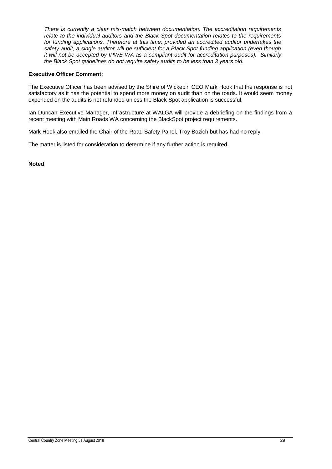*There is currently a clear mis-match between documentation. The accreditation requirements relate to the individual auditors and the Black Spot documentation relates to the requirements for funding applications. Therefore at this time; provided an accredited auditor undertakes the safety audit, a single auditor will be sufficient for a Black Spot funding application (even though it will not be accepted by IPWE-WA as a compliant audit for accreditation purposes). Similarly the Black Spot guidelines do not require safety audits to be less than 3 years old.*

#### **Executive Officer Comment:**

The Executive Officer has been advised by the Shire of Wickepin CEO Mark Hook that the response is not satisfactory as it has the potential to spend more money on audit than on the roads. It would seem money expended on the audits is not refunded unless the Black Spot application is successful.

Ian Duncan Executive Manager, Infrastructure at WALGA will provide a debriefing on the findings from a recent meeting with Main Roads WA concerning the BlackSpot project requirements.

Mark Hook also emailed the Chair of the Road Safety Panel, Troy Bozich but has had no reply.

The matter is listed for consideration to determine if any further action is required.

#### **Noted**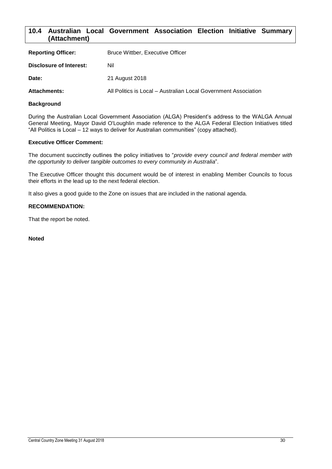#### <span id="page-30-0"></span>**10.4 Australian Local Government Association Election Initiative Summary (Attachment)**

| <b>Reporting Officer:</b> | Bruce Wittber, Executive Officer                                |
|---------------------------|-----------------------------------------------------------------|
| Disclosure of Interest:   | Nil                                                             |
| Date:                     | 21 August 2018                                                  |
| <b>Attachments:</b>       | All Politics is Local – Australian Local Government Association |

#### **Background**

During the Australian Local Government Association (ALGA) President's address to the WALGA Annual General Meeting, Mayor David O'Loughlin made reference to the ALGA Federal Election Initiatives titled "All Politics is Local – 12 ways to deliver for Australian communities" (copy attached).

#### **Executive Officer Comment:**

The document succinctly outlines the policy initiatives to "*provide every council and federal member with the opportunity to deliver tangible outcomes to every community in Australia*".

The Executive Officer thought this document would be of interest in enabling Member Councils to focus their efforts in the lead up to the next federal election.

It also gives a good guide to the Zone on issues that are included in the national agenda.

#### **RECOMMENDATION:**

That the report be noted.

#### **Noted**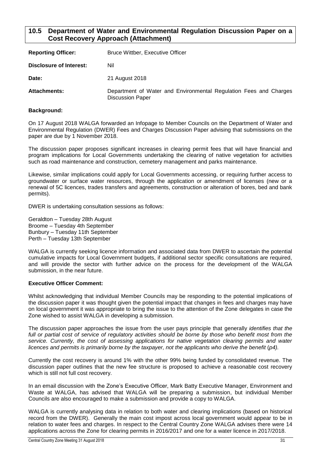#### <span id="page-31-0"></span>**10.5 Department of Water and Environmental Regulation Discussion Paper on a Cost Recovery Approach (Attachment)**

| <b>Reporting Officer:</b> | <b>Bruce Wittber, Executive Officer</b>                                                      |
|---------------------------|----------------------------------------------------------------------------------------------|
| Disclosure of Interest:   | Nil                                                                                          |
| Date:                     | 21 August 2018                                                                               |
| <b>Attachments:</b>       | Department of Water and Environmental Regulation Fees and Charges<br><b>Discussion Paper</b> |

#### **Background:**

On 17 August 2018 WALGA forwarded an Infopage to Member Councils on the Department of Water and Environmental Regulation (DWER) Fees and Charges Discussion Paper advising that submissions on the paper are due by 1 November 2018.

The discussion paper proposes significant increases in clearing permit fees that will have financial and program implications for Local Governments undertaking the clearing of native vegetation for activities such as road maintenance and construction, cemetery management and parks maintenance.

Likewise, similar implications could apply for Local Governments accessing, or requiring further access to groundwater or surface water resources, through the application or amendment of licenses (new or a renewal of 5C licences, trades transfers and agreements, construction or alteration of bores, bed and bank permits).

DWER is undertaking consultation sessions as follows:

Geraldton – Tuesday 28th August Broome – Tuesday 4th September Bunbury – Tuesday 11th September Perth – Tuesday 13th September

WALGA is currently seeking licence information and associated data from DWER to ascertain the potential cumulative impacts for Local Government budgets, if additional sector specific consultations are required, and will provide the sector with further advice on the process for the development of the WALGA submission, in the near future.

#### **Executive Officer Comment:**

Whilst acknowledging that individual Member Councils may be responding to the potential implications of the discussion paper it was thought given the potential impact that changes in fees and charges may have on local government it was appropriate to bring the issue to the attention of the Zone delegates in case the Zone wished to assist WALGA in developing a submission.

The discussion paper approaches the issue from the user pays principle that generally *identifies that the*  full or partial cost of service of regulatory activities should be borne by those who benefit most from the *service. Currently, the cost of assessing applications for native vegetation clearing permits and water licences and permits is primarily borne by the taxpayer, not the applicants who derive the benefit* (*p4).*

Currently the cost recovery is around 1% with the other 99% being funded by consolidated revenue. The discussion paper outlines that the new fee structure is proposed to achieve a reasonable cost recovery which is still not full cost recovery.

In an email discussion with the Zone's Executive Officer, Mark Batty Executive Manager, Environment and Waste at WALGA, has advised that WALGA will be preparing a submission, but individual Member Councils are also encouraged to make a submission and provide a copy to WALGA.

WALGA is currently analysing data in relation to both water and clearing implications (based on historical record from the DWER). Generally the main cost impost across local government would appear to be in relation to water fees and charges. In respect to the Central Country Zone WALGA advises there were 14 applications across the Zone for clearing permits in 2016/2017 and one for a water licence in 2017/2018.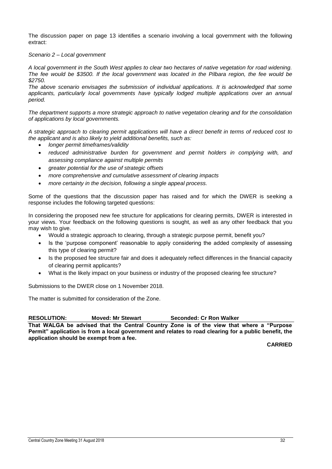The discussion paper on page 13 identifies a scenario involving a local government with the following extract:

#### *Scenario 2 – Local government*

*A local government in the South West applies to clear two hectares of native vegetation for road widening. The fee would be \$3500. If the local government was located in the Pilbara region, the fee would be \$2750.*

*The above scenario envisages the submission of individual applications. It is acknowledged that some applicants, particularly local governments have typically lodged multiple applications over an annual period.*

*The department supports a more strategic approach to native vegetation clearing and for the consolidation of applications by local governments.*

*A strategic approach to clearing permit applications will have a direct benefit in terms of reduced cost to the applicant and is also likely to yield additional benefits, such as:*

- *longer permit timeframes/validity*
- *reduced administrative burden for government and permit holders in complying with, and assessing compliance against multiple permits*
- *greater potential for the use of strategic offsets*
- *more comprehensive and cumulative assessment of clearing impacts*
- *more certainty in the decision, following a single appeal process.*

Some of the questions that the discussion paper has raised and for which the DWER is seeking a response includes the following targeted questions:

In considering the proposed new fee structure for applications for clearing permits, DWER is interested in your views. Your feedback on the following questions is sought, as well as any other feedback that you may wish to give.

- Would a strategic approach to clearing, through a strategic purpose permit, benefit you?
- Is the 'purpose component' reasonable to apply considering the added complexity of assessing this type of clearing permit?
- Is the proposed fee structure fair and does it adequately reflect differences in the financial capacity of clearing permit applicants?
- What is the likely impact on your business or industry of the proposed clearing fee structure?

Submissions to the DWER close on 1 November 2018.

The matter is submitted for consideration of the Zone.

**RESOLUTION: Moved: Mr Stewart Seconded: Cr Ron Walker**

**That WALGA be advised that the Central Country Zone is of the view that where a "Purpose Permit" application is from a local government and relates to road clearing for a public benefit, the application should be exempt from a fee.**

**CARRIED**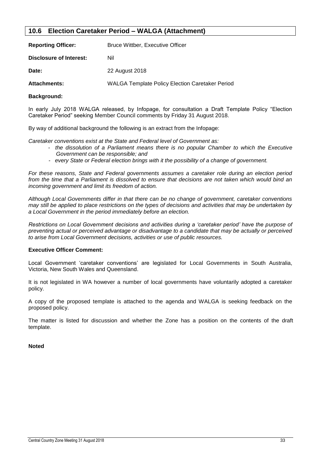#### <span id="page-33-0"></span>**10.6 Election Caretaker Period – WALGA (Attachment)**

| <b>Reporting Officer:</b>      | <b>Bruce Wittber, Executive Officer</b>                |  |
|--------------------------------|--------------------------------------------------------|--|
| <b>Disclosure of Interest:</b> | Nil                                                    |  |
| Date:                          | 22 August 2018                                         |  |
| <b>Attachments:</b>            | <b>WALGA Template Policy Election Caretaker Period</b> |  |
|                                |                                                        |  |

#### **Background:**

In early July 2018 WALGA released, by Infopage, for consultation a Draft Template Policy "Election Caretaker Period" seeking Member Council comments by Friday 31 August 2018.

By way of additional background the following is an extract from the Infopage:

*Caretaker conventions exist at the State and Federal level of Government as:* 

- *the dissolution of a Parliament means there is no popular Chamber to which the Executive Government can be responsible; and*
- *every State or Federal election brings with it the possibility of a change of government.*

*For these reasons, State and Federal governments assumes a caretaker role during an election period*  from the time that a Parliament is dissolved to ensure that decisions are not taken which would bind an *incoming government and limit its freedom of action.* 

*Although Local Governments differ in that there can be no change of government, caretaker conventions may still be applied to place restrictions on the types of decisions and activities that may be undertaken by a Local Government in the period immediately before an election.* 

*Restrictions on Local Government decisions and activities during a 'caretaker period' have the purpose of preventing actual or perceived advantage or disadvantage to a candidate that may be actually or perceived to arise from Local Government decisions, activities or use of public resources.* 

#### **Executive Officer Comment:**

Local Government 'caretaker conventions' are legislated for Local Governments in South Australia, Victoria, New South Wales and Queensland.

It is not legislated in WA however a number of local governments have voluntarily adopted a caretaker policy.

A copy of the proposed template is attached to the agenda and WALGA is seeking feedback on the proposed policy.

The matter is listed for discussion and whether the Zone has a position on the contents of the draft template.

#### **Noted**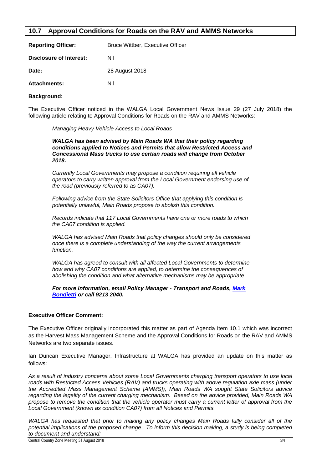#### <span id="page-34-0"></span>**10.7 Approval Conditions for Roads on the RAV and AMMS Networks**

| <b>Reporting Officer:</b> | <b>Bruce Wittber, Executive Officer</b> |
|---------------------------|-----------------------------------------|
| Disclosure of Interest:   | Nil                                     |
| Date:                     | 28 August 2018                          |
| <b>Attachments:</b>       | Nil                                     |

#### **Background:**

The Executive Officer noticed in the WALGA Local Government News Issue 29 (27 July 2018) the following article relating to Approval Conditions for Roads on the RAV and AMMS Networks:

*Managing Heavy Vehicle Access to Local Roads*

*WALGA has been advised by Main Roads WA that their policy regarding conditions applied to Notices and Permits that allow Restricted Access and Concessional Mass trucks to use certain roads will change from October 2018.*

*Currently Local Governments may propose a condition requiring all vehicle operators to carry written approval from the Local Government endorsing use of the road (previously referred to as CA07).*

*Following advice from the State Solicitors Office that applying this condition is potentially unlawful, Main Roads propose to abolish this condition.*

*Records indicate that 117 Local Governments have one or more roads to which the CA07 condition is applied.*

*WALGA has advised Main Roads that policy changes should only be considered once there is a complete understanding of the way the current arrangements function.*

*WALGA has agreed to consult with all affected Local Governments to determine how and why CA07 conditions are applied, to determine the consequences of abolishing the condition and what alternative mechanisms may be appropriate.*

*For more information, email Policy Manager - Transport and Roads, [Mark](mailto:mbondietti@walga.asn.au)  [Bondietti](mailto:mbondietti@walga.asn.au) or call 9213 2040.*

#### **Executive Officer Comment:**

The Executive Officer originally incorporated this matter as part of Agenda Item 10.1 which was incorrect as the Harvest Mass Management Scheme and the Approval Conditions for Roads on the RAV and AMMS Networks are two separate issues.

Ian Duncan Executive Manager, Infrastructure at WALGA has provided an update on this matter as follows:

*As a result of industry concerns about some Local Governments charging transport operators to use local roads with Restricted Access Vehicles (RAV) and trucks operating with above regulation axle mass (under the Accredited Mass Management Scheme [AMMS]), Main Roads WA sought State Solicitors advice regarding the legality of the current charging mechanism. Based on the advice provided, Main Roads WA propose to remove the condition that the vehicle operator must carry a current letter of approval from the Local Government (known as condition CA07) from all Notices and Permits.*

*WALGA has requested that prior to making any policy changes Main Roads fully consider all of the potential implications of the proposed change. To inform this decision making, a study is being completed to document and understand:*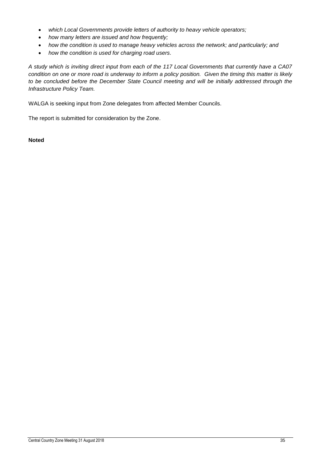- *which Local Governments provide letters of authority to heavy vehicle operators;*
- *how many letters are issued and how frequently;*
- *how the condition is used to manage heavy vehicles across the network; and particularly; and*
- *how the condition is used for charging road users.*

*A study which is inviting direct input from each of the 117 Local Governments that currently have a CA07 condition on one or more road is underway to inform a policy position. Given the timing this matter is likely to be concluded before the December State Council meeting and will be initially addressed through the Infrastructure Policy Team.*

WALGA is seeking input from Zone delegates from affected Member Councils.

The report is submitted for consideration by the Zone.

**Noted**